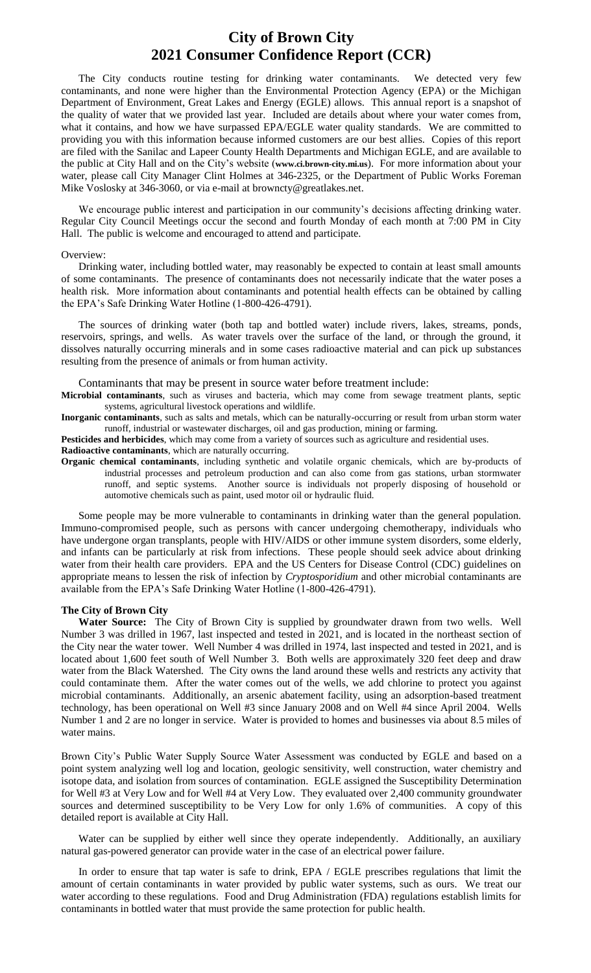## **City of Brown City 2021 Consumer Confidence Report (CCR)**

The City conducts routine testing for drinking water contaminants. We detected very few contaminants, and none were higher than the Environmental Protection Agency (EPA) or the Michigan Department of Environment, Great Lakes and Energy (EGLE) allows. This annual report is a snapshot of the quality of water that we provided last year. Included are details about where your water comes from, what it contains, and how we have surpassed EPA/EGLE water quality standards. We are committed to providing you with this information because informed customers are our best allies. Copies of this report are filed with the Sanilac and Lapeer County Health Departments and Michigan EGLE, and are available to the public at City Hall and on the City's website (**www.ci.brown-city.mi.us**). For more information about your water, please call City Manager Clint Holmes at 346-2325, or the Department of Public Works Foreman Mike Voslosky at 346-3060, or via e-mail at browncty@greatlakes.net.

We encourage public interest and participation in our community's decisions affecting drinking water. Regular City Council Meetings occur the second and fourth Monday of each month at 7:00 PM in City Hall. The public is welcome and encouraged to attend and participate.

#### Overview:

Drinking water, including bottled water, may reasonably be expected to contain at least small amounts of some contaminants. The presence of contaminants does not necessarily indicate that the water poses a health risk. More information about contaminants and potential health effects can be obtained by calling the EPA's Safe Drinking Water Hotline (1-800-426-4791).

The sources of drinking water (both tap and bottled water) include rivers, lakes, streams, ponds, reservoirs, springs, and wells. As water travels over the surface of the land, or through the ground, it dissolves naturally occurring minerals and in some cases radioactive material and can pick up substances resulting from the presence of animals or from human activity.

Contaminants that may be present in source water before treatment include:

**Microbial contaminants**, such as viruses and bacteria, which may come from sewage treatment plants, septic systems, agricultural livestock operations and wildlife.

**Inorganic contaminants**, such as salts and metals, which can be naturally-occurring or result from urban storm water runoff, industrial or wastewater discharges, oil and gas production, mining or farming.

**Pesticides and herbicides**, which may come from a variety of sources such as agriculture and residential uses.

**Radioactive contaminants**, which are naturally occurring.

**Organic chemical contaminants**, including synthetic and volatile organic chemicals, which are by-products of industrial processes and petroleum production and can also come from gas stations, urban stormwater runoff, and septic systems. Another source is individuals not properly disposing of household or automotive chemicals such as paint, used motor oil or hydraulic fluid.

Some people may be more vulnerable to contaminants in drinking water than the general population. Immuno-compromised people, such as persons with cancer undergoing chemotherapy, individuals who have undergone organ transplants, people with HIV/AIDS or other immune system disorders, some elderly, and infants can be particularly at risk from infections. These people should seek advice about drinking water from their health care providers. EPA and the US Centers for Disease Control (CDC) guidelines on appropriate means to lessen the risk of infection by *Cryptosporidium* and other microbial contaminants are available from the EPA's Safe Drinking Water Hotline (1-800-426-4791).

### **The City of Brown City**

**Water Source:** The City of Brown City is supplied by groundwater drawn from two wells. Well Number 3 was drilled in 1967, last inspected and tested in 2021, and is located in the northeast section of the City near the water tower. Well Number 4 was drilled in 1974, last inspected and tested in 2021, and is located about 1,600 feet south of Well Number 3. Both wells are approximately 320 feet deep and draw water from the Black Watershed. The City owns the land around these wells and restricts any activity that could contaminate them. After the water comes out of the wells, we add chlorine to protect you against microbial contaminants. Additionally, an arsenic abatement facility, using an adsorption-based treatment technology, has been operational on Well #3 since January 2008 and on Well #4 since April 2004. Wells Number 1 and 2 are no longer in service. Water is provided to homes and businesses via about 8.5 miles of water mains.

Brown City's Public Water Supply Source Water Assessment was conducted by EGLE and based on a point system analyzing well log and location, geologic sensitivity, well construction, water chemistry and isotope data, and isolation from sources of contamination. EGLE assigned the Susceptibility Determination for Well #3 at Very Low and for Well #4 at Very Low. They evaluated over 2,400 community groundwater sources and determined susceptibility to be Very Low for only 1.6% of communities. A copy of this detailed report is available at City Hall.

Water can be supplied by either well since they operate independently. Additionally, an auxiliary natural gas-powered generator can provide water in the case of an electrical power failure.

In order to ensure that tap water is safe to drink, EPA / EGLE prescribes regulations that limit the amount of certain contaminants in water provided by public water systems, such as ours. We treat our water according to these regulations. Food and Drug Administration (FDA) regulations establish limits for contaminants in bottled water that must provide the same protection for public health.